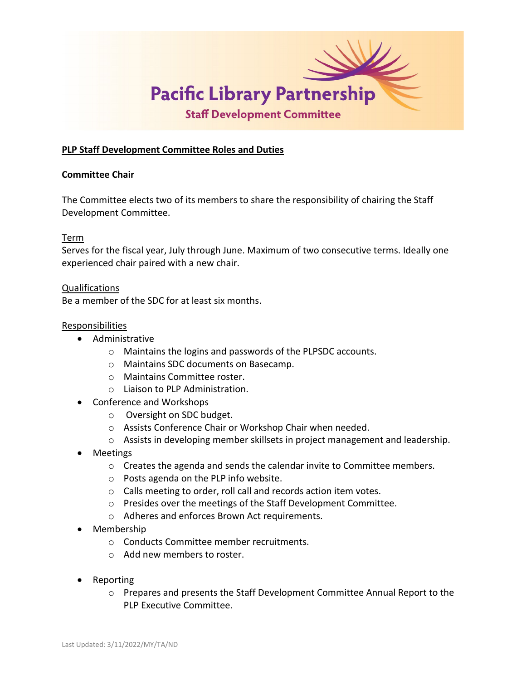

# **PLP Staff Development Committee Roles and Duties**

#### **Committee Chair**

The Committee elects two of its members to share the responsibility of chairing the Staff Development Committee.

## Term

Serves for the fiscal year, July through June. Maximum of two consecutive terms. Ideally one experienced chair paired with a new chair.

#### Qualifications

Be a member of the SDC for at least six months.

#### **Responsibilities**

- Administrative
	- o Maintains the logins and passwords of the PLPSDC accounts.
	- o Maintains SDC documents on Basecamp.
	- o Maintains Committee roster.
	- o Liaison to PLP Administration.
- Conference and Workshops
	- o Oversight on SDC budget.
	- o Assists Conference Chair or Workshop Chair when needed.
	- $\circ$  Assists in developing member skillsets in project management and leadership.
- Meetings
	- $\circ$  Creates the agenda and sends the calendar invite to Committee members.
	- o Posts agenda on the PLP info website.
	- o Calls meeting to order, roll call and records action item votes.
	- o Presides over the meetings of the Staff Development Committee.
	- o Adheres and enforces Brown Act requirements.
- Membership
	- o Conducts Committee member recruitments.
	- o Add new members to roster.
- Reporting
	- o Prepares and presents the Staff Development Committee Annual Report to the PLP Executive Committee.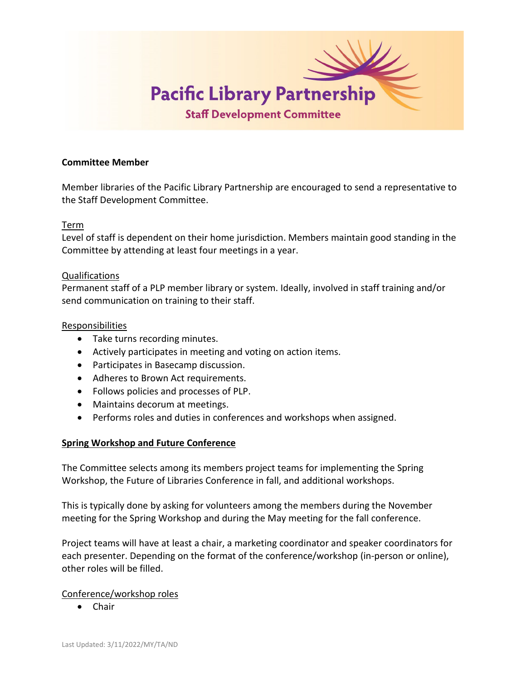

#### **Committee Member**

Member libraries of the Pacific Library Partnership are encouraged to send a representative to the Staff Development Committee.

## Term

Level of staff is dependent on their home jurisdiction. Members maintain good standing in the Committee by attending at least four meetings in a year.

## Qualifications

Permanent staff of a PLP member library or system. Ideally, involved in staff training and/or send communication on training to their staff.

## Responsibilities

- Take turns recording minutes.
- Actively participates in meeting and voting on action items.
- Participates in Basecamp discussion.
- Adheres to Brown Act requirements.
- Follows policies and processes of PLP.
- Maintains decorum at meetings.
- Performs roles and duties in conferences and workshops when assigned.

# **Spring Workshop and Future Conference**

The Committee selects among its members project teams for implementing the Spring Workshop, the Future of Libraries Conference in fall, and additional workshops.

This is typically done by asking for volunteers among the members during the November meeting for the Spring Workshop and during the May meeting for the fall conference.

Project teams will have at least a chair, a marketing coordinator and speaker coordinators for each presenter. Depending on the format of the conference/workshop (in-person or online), other roles will be filled.

# Conference/workshop roles

• Chair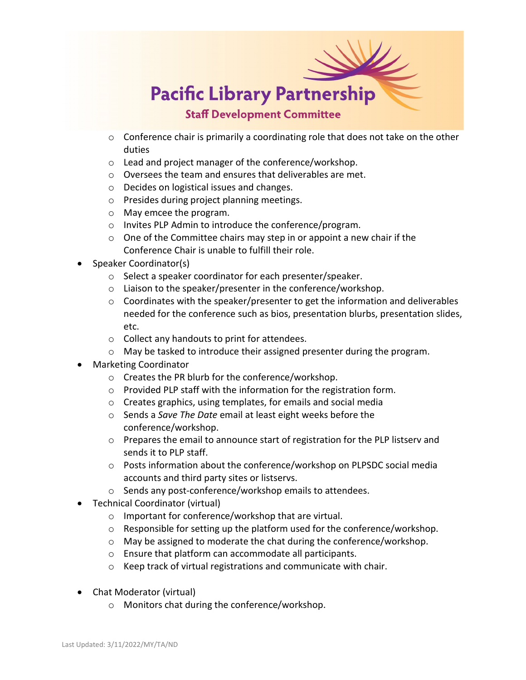

- o Conference chair is primarily a coordinating role that does not take on the other duties
- o Lead and project manager of the conference/workshop.
- o Oversees the team and ensures that deliverables are met.
- o Decides on logistical issues and changes.
- o Presides during project planning meetings.
- o May emcee the program.
- o Invites PLP Admin to introduce the conference/program.
- o One of the Committee chairs may step in or appoint a new chair if the Conference Chair is unable to fulfill their role.
- Speaker Coordinator(s)
	- o Select a speaker coordinator for each presenter/speaker.
	- o Liaison to the speaker/presenter in the conference/workshop.
	- $\circ$  Coordinates with the speaker/presenter to get the information and deliverables needed for the conference such as bios, presentation blurbs, presentation slides, etc.
	- o Collect any handouts to print for attendees.
	- o May be tasked to introduce their assigned presenter during the program.
- Marketing Coordinator
	- o Creates the PR blurb for the conference/workshop.
	- o Provided PLP staff with the information for the registration form.
	- o Creates graphics, using templates, for emails and social media
	- o Sends a *Save The Date* email at least eight weeks before the conference/workshop.
	- $\circ$  Prepares the email to announce start of registration for the PLP listserv and sends it to PLP staff.
	- o Posts information about the conference/workshop on PLPSDC social media accounts and third party sites or listservs.
	- o Sends any post-conference/workshop emails to attendees.
- Technical Coordinator (virtual)
	- o Important for conference/workshop that are virtual.
	- o Responsible for setting up the platform used for the conference/workshop.
	- o May be assigned to moderate the chat during the conference/workshop.
	- o Ensure that platform can accommodate all participants.
	- o Keep track of virtual registrations and communicate with chair.
- Chat Moderator (virtual)
	- o Monitors chat during the conference/workshop.